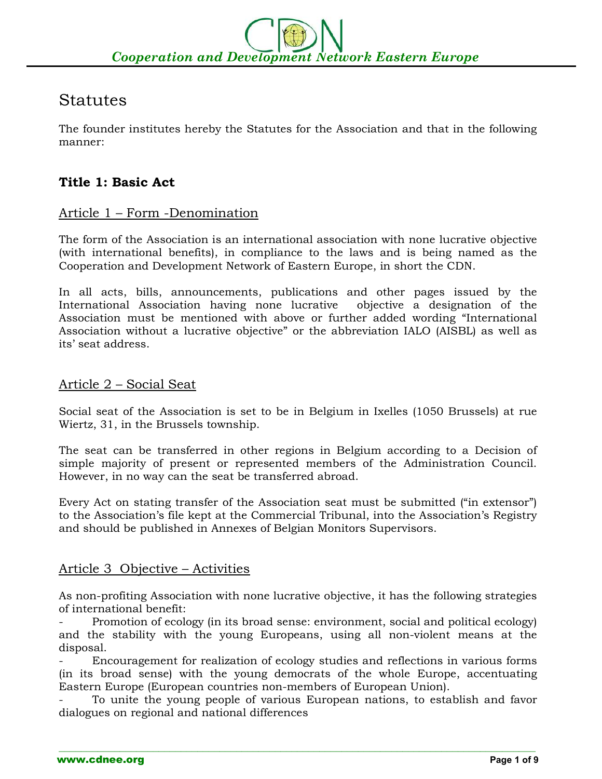# Statutes

The founder institutes hereby the Statutes for the Association and that in the following manner:

# **Title 1: Basic Act**

### Article 1 – Form -Denomination

The form of the Association is an international association with none lucrative objective (with international benefits), in compliance to the laws and is being named as the Cooperation and Development Network of Eastern Europe, in short the CDN.

In all acts, bills, announcements, publications and other pages issued by the International Association having none lucrative objective a designation of the Association must be mentioned with above or further added wording "International Association without a lucrative objective" or the abbreviation IALO (AISBL) as well as its' seat address.

#### Article 2 – Social Seat

Social seat of the Association is set to be in Belgium in Ixelles (1050 Brussels) at rue Wiertz, 31, in the Brussels township.

The seat can be transferred in other regions in Belgium according to a Decision of simple majority of present or represented members of the Administration Council. However, in no way can the seat be transferred abroad.

Every Act on stating transfer of the Association seat must be submitted ("in extensor") to the Association's file kept at the Commercial Tribunal, into the Association's Registry and should be published in Annexes of Belgian Monitors Supervisors.

# Article 3 Objective – Activities

As non-profiting Association with none lucrative objective, it has the following strategies of international benefit:

Promotion of ecology (in its broad sense: environment, social and political ecology) and the stability with the young Europeans, using all non-violent means at the disposal.

- Encouragement for realization of ecology studies and reflections in various forms (in its broad sense) with the young democrats of the whole Europe, accentuating Eastern Europe (European countries non-members of European Union).

- To unite the young people of various European nations, to establish and favor dialogues on regional and national differences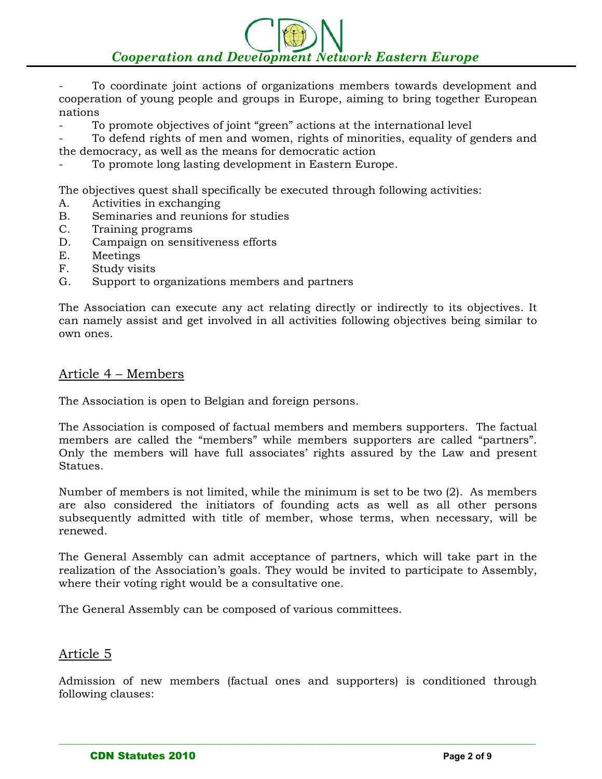# *Cooperation and Development Network Eastern Europe*

To coordinate joint actions of organizations members towards development and cooperation of young people and groups in Europe, aiming to bring together European nations

To promote objectives of joint "green" actions at the international level

- To defend rights of men and women, rights of minorities, equality of genders and the democracy, as well as the means for democratic action

To promote long lasting development in Eastern Europe.

The objectives quest shall specifically be executed through following activities:

- A. Activities in exchanging
- B. Seminaries and reunions for studies
- C. Training programs
- D. Campaign on sensitiveness efforts
- E. Meetings
- F. Study visits
- G. Support to organizations members and partners

The Association can execute any act relating directly or indirectly to its objectives. It can namely assist and get involved in all activities following objectives being similar to own ones.

#### Article 4 – Members

The Association is open to Belgian and foreign persons.

The Association is composed of factual members and members supporters. The factual members are called the "members" while members supporters are called "partners". Only the members will have full associates' rights assured by the Law and present Statues.

Number of members is not limited, while the minimum is set to be two (2). As members are also considered the initiators of founding acts as well as all other persons subsequently admitted with title of member, whose terms, when necessary, will be renewed.

The General Assembly can admit acceptance of partners, which will take part in the realization of the Association's goals. They would be invited to participate to Assembly, where their voting right would be a consultative one.

The General Assembly can be composed of various committees.

#### Article 5

Admission of new members (factual ones and supporters) is conditioned through following clauses: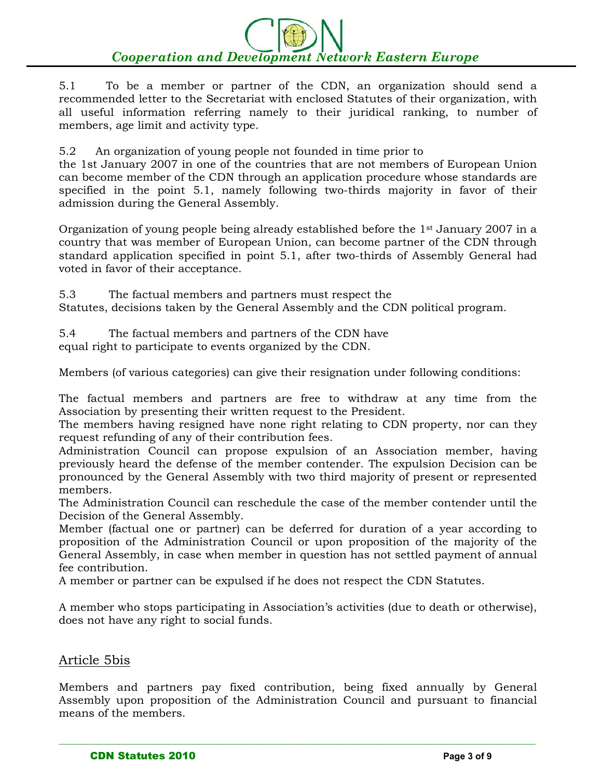5.1 To be a member or partner of the CDN, an organization should send a recommended letter to the Secretariat with enclosed Statutes of their organization, with all useful information referring namely to their juridical ranking, to number of members, age limit and activity type.

5.2 An organization of young people not founded in time prior to

the 1st January 2007 in one of the countries that are not members of European Union can become member of the CDN through an application procedure whose standards are specified in the point 5.1, namely following two-thirds majority in favor of their admission during the General Assembly.

Organization of young people being already established before the 1st January 2007 in a country that was member of European Union, can become partner of the CDN through standard application specified in point 5.1, after two-thirds of Assembly General had voted in favor of their acceptance.

5.3 The factual members and partners must respect the

Statutes, decisions taken by the General Assembly and the CDN political program.

5.4 The factual members and partners of the CDN have

equal right to participate to events organized by the CDN.

Members (of various categories) can give their resignation under following conditions:

The factual members and partners are free to withdraw at any time from the Association by presenting their written request to the President.

The members having resigned have none right relating to CDN property, nor can they request refunding of any of their contribution fees.

Administration Council can propose expulsion of an Association member, having previously heard the defense of the member contender. The expulsion Decision can be pronounced by the General Assembly with two third majority of present or represented members.

The Administration Council can reschedule the case of the member contender until the Decision of the General Assembly.

Member (factual one or partner) can be deferred for duration of a year according to proposition of the Administration Council or upon proposition of the majority of the General Assembly, in case when member in question has not settled payment of annual fee contribution.

A member or partner can be expulsed if he does not respect the CDN Statutes.

A member who stops participating in Association's activities (due to death or otherwise), does not have any right to social funds.

#### Article 5bis

Members and partners pay fixed contribution, being fixed annually by General Assembly upon proposition of the Administration Council and pursuant to financial means of the members.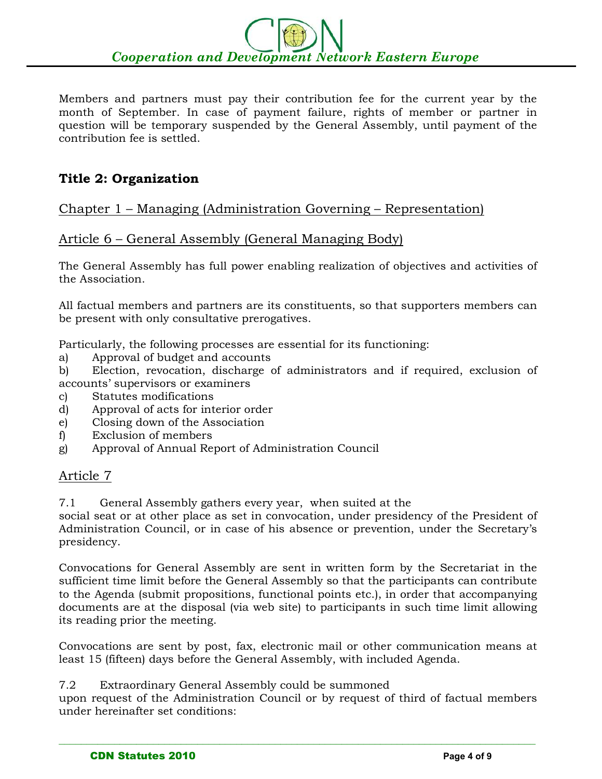Members and partners must pay their contribution fee for the current year by the month of September. In case of payment failure, rights of member or partner in question will be temporary suspended by the General Assembly, until payment of the contribution fee is settled.

# **Title 2: Organization**

# Chapter 1 – Managing (Administration Governing – Representation)

# Article 6 – General Assembly (General Managing Body)

The General Assembly has full power enabling realization of objectives and activities of the Association.

All factual members and partners are its constituents, so that supporters members can be present with only consultative prerogatives.

Particularly, the following processes are essential for its functioning:

- a) Approval of budget and accounts
- b) Election, revocation, discharge of administrators and if required, exclusion of accounts' supervisors or examiners
- c) Statutes modifications
- d) Approval of acts for interior order
- e) Closing down of the Association
- f) Exclusion of members
- g) Approval of Annual Report of Administration Council

#### Article 7

7.1 General Assembly gathers every year, when suited at the

social seat or at other place as set in convocation, under presidency of the President of Administration Council, or in case of his absence or prevention, under the Secretary's presidency.

Convocations for General Assembly are sent in written form by the Secretariat in the sufficient time limit before the General Assembly so that the participants can contribute to the Agenda (submit propositions, functional points etc.), in order that accompanying documents are at the disposal (via web site) to participants in such time limit allowing its reading prior the meeting.

Convocations are sent by post, fax, electronic mail or other communication means at least 15 (fifteen) days before the General Assembly, with included Agenda.

7.2 Extraordinary General Assembly could be summoned

upon request of the Administration Council or by request of third of factual members under hereinafter set conditions: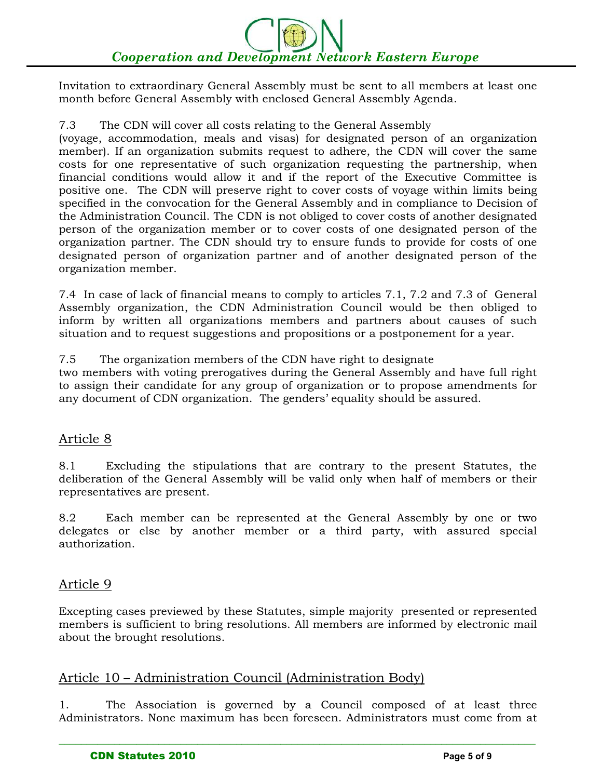Invitation to extraordinary General Assembly must be sent to all members at least one month before General Assembly with enclosed General Assembly Agenda.

#### 7.3 The CDN will cover all costs relating to the General Assembly

(voyage, accommodation, meals and visas) for designated person of an organization member). If an organization submits request to adhere, the CDN will cover the same costs for one representative of such organization requesting the partnership, when financial conditions would allow it and if the report of the Executive Committee is positive one. The CDN will preserve right to cover costs of voyage within limits being specified in the convocation for the General Assembly and in compliance to Decision of the Administration Council. The CDN is not obliged to cover costs of another designated person of the organization member or to cover costs of one designated person of the organization partner. The CDN should try to ensure funds to provide for costs of one designated person of organization partner and of another designated person of the organization member.

7.4 In case of lack of financial means to comply to articles 7.1, 7.2 and 7.3 of General Assembly organization, the CDN Administration Council would be then obliged to inform by written all organizations members and partners about causes of such situation and to request suggestions and propositions or a postponement for a year.

7.5 The organization members of the CDN have right to designate

two members with voting prerogatives during the General Assembly and have full right to assign their candidate for any group of organization or to propose amendments for any document of CDN organization. The genders' equality should be assured.

#### Article 8

8.1 Excluding the stipulations that are contrary to the present Statutes, the deliberation of the General Assembly will be valid only when half of members or their representatives are present.

8.2 Each member can be represented at the General Assembly by one or two delegates or else by another member or a third party, with assured special authorization.

#### Article 9

Excepting cases previewed by these Statutes, simple majority presented or represented members is sufficient to bring resolutions. All members are informed by electronic mail about the brought resolutions.

#### Article 10 – Administration Council (Administration Body)

1. The Association is governed by a Council composed of at least three Administrators. None maximum has been foreseen. Administrators must come from at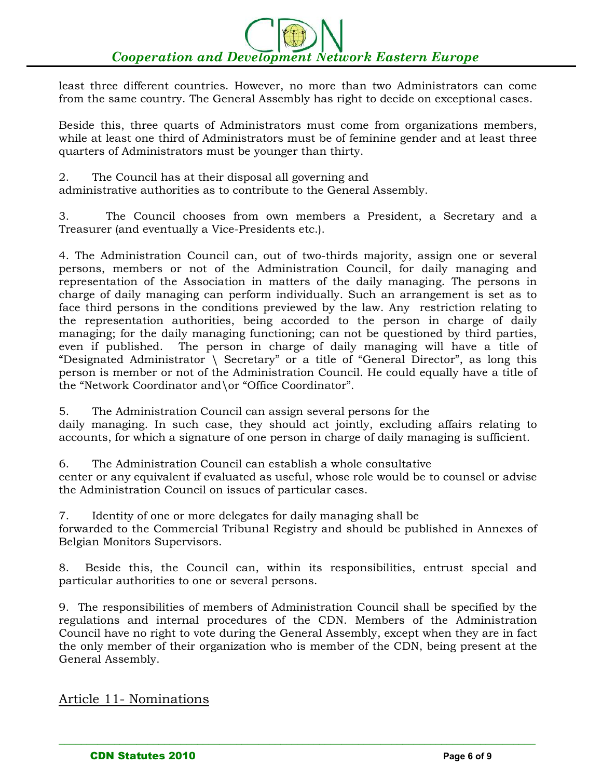least three different countries. However, no more than two Administrators can come from the same country. The General Assembly has right to decide on exceptional cases.

Beside this, three quarts of Administrators must come from organizations members, while at least one third of Administrators must be of feminine gender and at least three quarters of Administrators must be younger than thirty.

2. The Council has at their disposal all governing and administrative authorities as to contribute to the General Assembly.

3. The Council chooses from own members a President, a Secretary and a Treasurer (and eventually a Vice-Presidents etc.).

4. The Administration Council can, out of two-thirds majority, assign one or several persons, members or not of the Administration Council, for daily managing and representation of the Association in matters of the daily managing. The persons in charge of daily managing can perform individually. Such an arrangement is set as to face third persons in the conditions previewed by the law. Any restriction relating to the representation authorities, being accorded to the person in charge of daily managing; for the daily managing functioning; can not be questioned by third parties, even if published. The person in charge of daily managing will have a title of "Designated Administrator \ Secretary" or a title of "General Director", as long this person is member or not of the Administration Council. He could equally have a title of the "Network Coordinator and\or "Office Coordinator".

5. The Administration Council can assign several persons for the daily managing. In such case, they should act jointly, excluding affairs relating to accounts, for which a signature of one person in charge of daily managing is sufficient.

6. The Administration Council can establish a whole consultative center or any equivalent if evaluated as useful, whose role would be to counsel or advise the Administration Council on issues of particular cases.

7. Identity of one or more delegates for daily managing shall be forwarded to the Commercial Tribunal Registry and should be published in Annexes of Belgian Monitors Supervisors.

8. Beside this, the Council can, within its responsibilities, entrust special and particular authorities to one or several persons.

9. The responsibilities of members of Administration Council shall be specified by the regulations and internal procedures of the CDN. Members of the Administration Council have no right to vote during the General Assembly, except when they are in fact the only member of their organization who is member of the CDN, being present at the General Assembly.

 $\_$  , and the set of the set of the set of the set of the set of the set of the set of the set of the set of the set of the set of the set of the set of the set of the set of the set of the set of the set of the set of th

Article 11- Nominations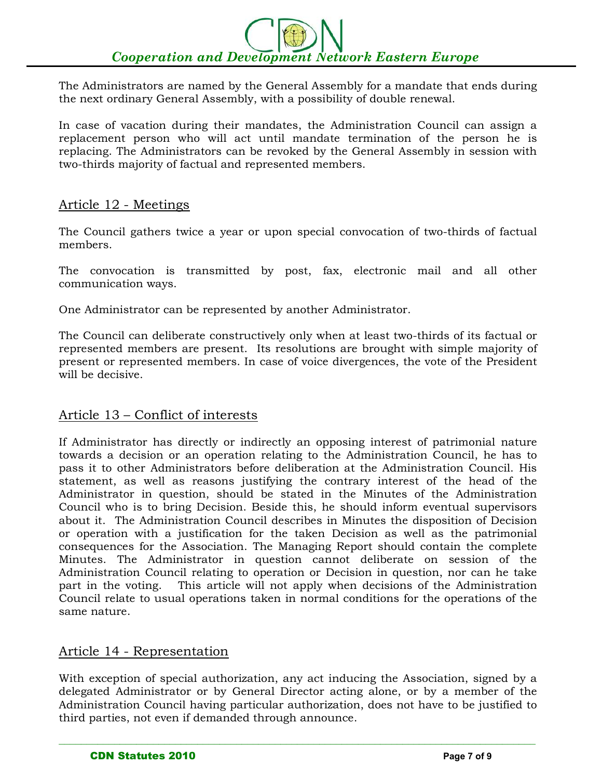The Administrators are named by the General Assembly for a mandate that ends during the next ordinary General Assembly, with a possibility of double renewal.

In case of vacation during their mandates, the Administration Council can assign a replacement person who will act until mandate termination of the person he is replacing. The Administrators can be revoked by the General Assembly in session with two-thirds majority of factual and represented members.

#### Article 12 - Meetings

The Council gathers twice a year or upon special convocation of two-thirds of factual members.

The convocation is transmitted by post, fax, electronic mail and all other communication ways.

One Administrator can be represented by another Administrator.

The Council can deliberate constructively only when at least two-thirds of its factual or represented members are present. Its resolutions are brought with simple majority of present or represented members. In case of voice divergences, the vote of the President will be decisive.

#### Article 13 – Conflict of interests

If Administrator has directly or indirectly an opposing interest of patrimonial nature towards a decision or an operation relating to the Administration Council, he has to pass it to other Administrators before deliberation at the Administration Council. His statement, as well as reasons justifying the contrary interest of the head of the Administrator in question, should be stated in the Minutes of the Administration Council who is to bring Decision. Beside this, he should inform eventual supervisors about it. The Administration Council describes in Minutes the disposition of Decision or operation with a justification for the taken Decision as well as the patrimonial consequences for the Association. The Managing Report should contain the complete Minutes. The Administrator in question cannot deliberate on session of the Administration Council relating to operation or Decision in question, nor can he take part in the voting. This article will not apply when decisions of the Administration Council relate to usual operations taken in normal conditions for the operations of the same nature.

#### Article 14 - Representation

With exception of special authorization, any act inducing the Association, signed by a delegated Administrator or by General Director acting alone, or by a member of the Administration Council having particular authorization, does not have to be justified to third parties, not even if demanded through announce.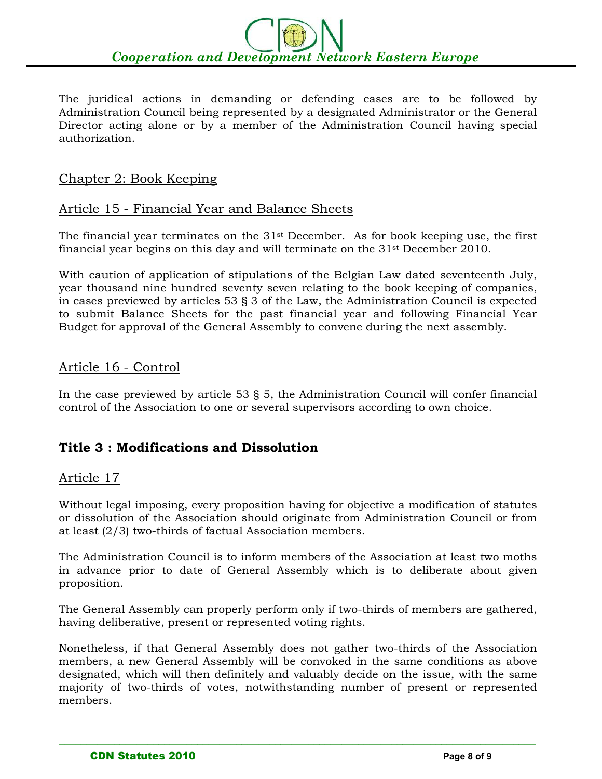The juridical actions in demanding or defending cases are to be followed by Administration Council being represented by a designated Administrator or the General Director acting alone or by a member of the Administration Council having special authorization.

#### Chapter 2: Book Keeping

#### Article 15 - Financial Year and Balance Sheets

The financial year terminates on the 31<sup>st</sup> December. As for book keeping use, the first financial year begins on this day and will terminate on the 31st December 2010.

With caution of application of stipulations of the Belgian Law dated seventeenth July, year thousand nine hundred seventy seven relating to the book keeping of companies, in cases previewed by articles 53 § 3 of the Law, the Administration Council is expected to submit Balance Sheets for the past financial year and following Financial Year Budget for approval of the General Assembly to convene during the next assembly.

#### Article 16 - Control

In the case previewed by article 53 § 5, the Administration Council will confer financial control of the Association to one or several supervisors according to own choice.

# **Title 3 : Modifications and Dissolution**

#### Article 17

Without legal imposing, every proposition having for objective a modification of statutes or dissolution of the Association should originate from Administration Council or from at least (2/3) two-thirds of factual Association members.

The Administration Council is to inform members of the Association at least two moths in advance prior to date of General Assembly which is to deliberate about given proposition.

The General Assembly can properly perform only if two-thirds of members are gathered, having deliberative, present or represented voting rights.

Nonetheless, if that General Assembly does not gather two-thirds of the Association members, a new General Assembly will be convoked in the same conditions as above designated, which will then definitely and valuably decide on the issue, with the same majority of two-thirds of votes, notwithstanding number of present or represented members.